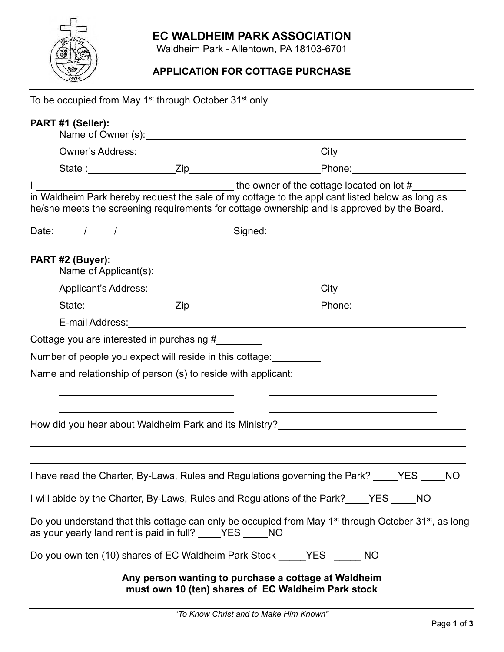## **EC WALDHEIM PARK ASSOCIATION**



Waldheim Park - Allentown, PA 18103-6701

## **APPLICATION FOR COTTAGE PURCHASE**

| To be occupied from May 1 <sup>st</sup> through October 31 <sup>st</sup> only                                                                                                                  |                                                                                                            |  |  |
|------------------------------------------------------------------------------------------------------------------------------------------------------------------------------------------------|------------------------------------------------------------------------------------------------------------|--|--|
| PART #1 (Seller):                                                                                                                                                                              |                                                                                                            |  |  |
|                                                                                                                                                                                                |                                                                                                            |  |  |
|                                                                                                                                                                                                |                                                                                                            |  |  |
| in Waldheim Park hereby request the sale of my cottage to the applicant listed below as long as<br>he/she meets the screening requirements for cottage ownership and is approved by the Board. |                                                                                                            |  |  |
| Date: $\frac{1}{\sqrt{2\pi}}$                                                                                                                                                                  |                                                                                                            |  |  |
| PART #2 (Buyer):                                                                                                                                                                               |                                                                                                            |  |  |
|                                                                                                                                                                                                |                                                                                                            |  |  |
|                                                                                                                                                                                                |                                                                                                            |  |  |
|                                                                                                                                                                                                |                                                                                                            |  |  |
| Cottage you are interested in purchasing #                                                                                                                                                     |                                                                                                            |  |  |
| Number of people you expect will reside in this cottage:                                                                                                                                       |                                                                                                            |  |  |
| Name and relationship of person (s) to reside with applicant:                                                                                                                                  |                                                                                                            |  |  |
|                                                                                                                                                                                                |                                                                                                            |  |  |
|                                                                                                                                                                                                |                                                                                                            |  |  |
| How did you hear about Waldheim Park and its Ministry? _________________________                                                                                                               |                                                                                                            |  |  |
|                                                                                                                                                                                                |                                                                                                            |  |  |
| I have read the Charter, By-Laws, Rules and Regulations governing the Park? YES NO                                                                                                             |                                                                                                            |  |  |
| I will abide by the Charter, By-Laws, Rules and Regulations of the Park? YES NO                                                                                                                |                                                                                                            |  |  |
| Do you understand that this cottage can only be occupied from May 1 <sup>st</sup> through October 31 <sup>st</sup> , as long<br>as your yearly land rent is paid in full? _____YES ______ NO   |                                                                                                            |  |  |
| Do you own ten (10) shares of EC Waldheim Park Stock YES NO                                                                                                                                    |                                                                                                            |  |  |
|                                                                                                                                                                                                | Any person wanting to purchase a cottage at Waldheim<br>must own 10 (ten) shares of EC Waldheim Park stock |  |  |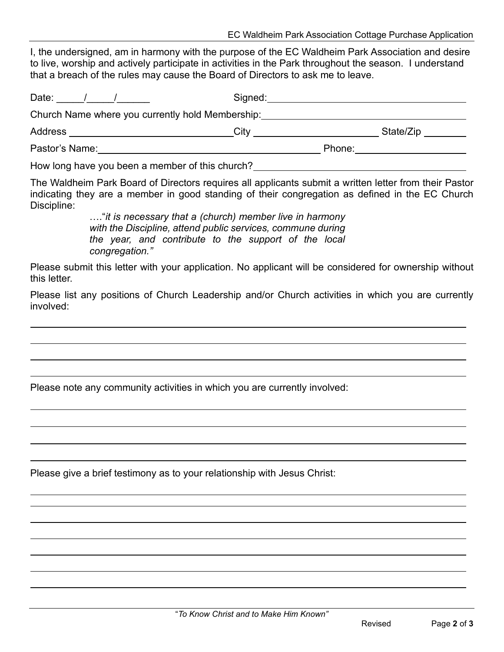I, the undersigned, am in harmony with the purpose of the EC Waldheim Park Association and desire to live, worship and actively participate in activities in the Park throughout the season. I understand that a breach of the rules may cause the Board of Directors to ask me to leave.

| Date:                                            | Signed: |        |           |
|--------------------------------------------------|---------|--------|-----------|
| Church Name where you currently hold Membership: |         |        |           |
| Address                                          | City    |        | State/Zip |
| Pastor's Name:                                   |         | Phone: |           |

How long have you been a member of this church?

The Waldheim Park Board of Directors requires all applicants submit a written letter from their Pastor indicating they are a member in good standing of their congregation as defined in the EC Church Discipline:

> …."*it is necessary that a (church) member live in harmony with the Discipline, attend public services, commune during the year, and contribute to the support of the local congregation."*

Please submit this letter with your application. No applicant will be considered for ownership without this letter.

Please list any positions of Church Leadership and/or Church activities in which you are currently involved:

Please note any community activities in which you are currently involved:

Please give a brief testimony as to your relationship with Jesus Christ: